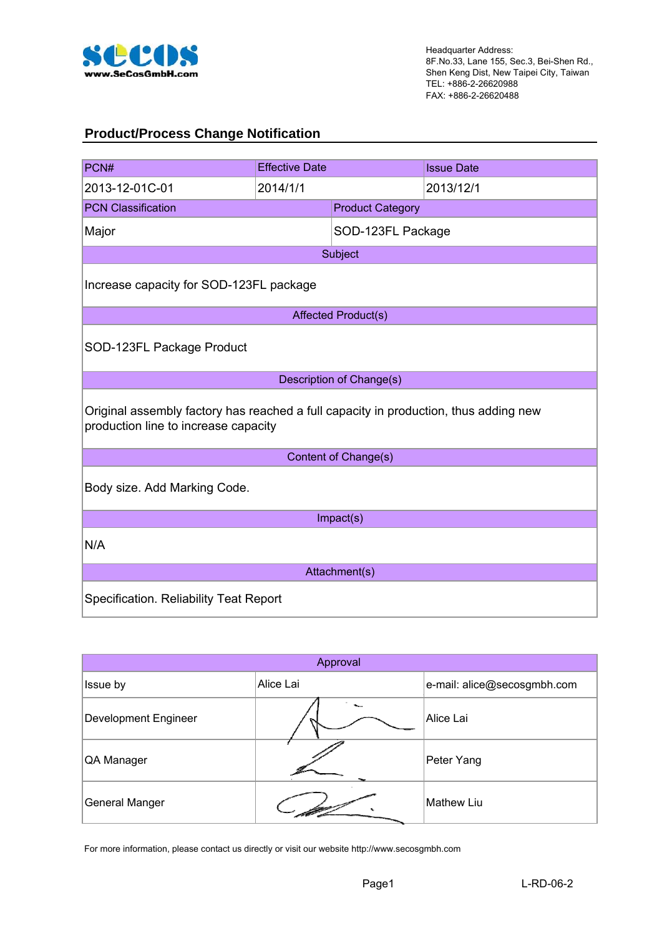

#### **Product/Process Change Notification**

| PCN#                                                                                                                         | <b>Effective Date</b> |                            | <b>Issue Date</b> |  |  |
|------------------------------------------------------------------------------------------------------------------------------|-----------------------|----------------------------|-------------------|--|--|
| 2013-12-01C-01                                                                                                               | 2014/1/1              |                            | 2013/12/1         |  |  |
| <b>PCN Classification</b>                                                                                                    |                       | <b>Product Category</b>    |                   |  |  |
| Major                                                                                                                        |                       | SOD-123FL Package          |                   |  |  |
|                                                                                                                              |                       | Subject                    |                   |  |  |
| Increase capacity for SOD-123FL package                                                                                      |                       |                            |                   |  |  |
|                                                                                                                              |                       | <b>Affected Product(s)</b> |                   |  |  |
| SOD-123FL Package Product                                                                                                    |                       |                            |                   |  |  |
|                                                                                                                              |                       | Description of Change(s)   |                   |  |  |
| Original assembly factory has reached a full capacity in production, thus adding new<br>production line to increase capacity |                       |                            |                   |  |  |
|                                                                                                                              |                       | Content of Change(s)       |                   |  |  |
| Body size. Add Marking Code.                                                                                                 |                       |                            |                   |  |  |
| Impact(s)                                                                                                                    |                       |                            |                   |  |  |
| N/A                                                                                                                          |                       |                            |                   |  |  |
| Attachment(s)                                                                                                                |                       |                            |                   |  |  |
| Specification. Reliability Teat Report                                                                                       |                       |                            |                   |  |  |

| Approval              |           |                             |  |  |
|-----------------------|-----------|-----------------------------|--|--|
| Issue by              | Alice Lai | e-mail: alice@secosgmbh.com |  |  |
| Development Engineer  | ۰.        | Alice Lai                   |  |  |
| QA Manager            |           | Peter Yang                  |  |  |
| <b>General Manger</b> |           | <b>Mathew Liu</b>           |  |  |

For more information, please contact us directly or visit our website http://www.secosgmbh.com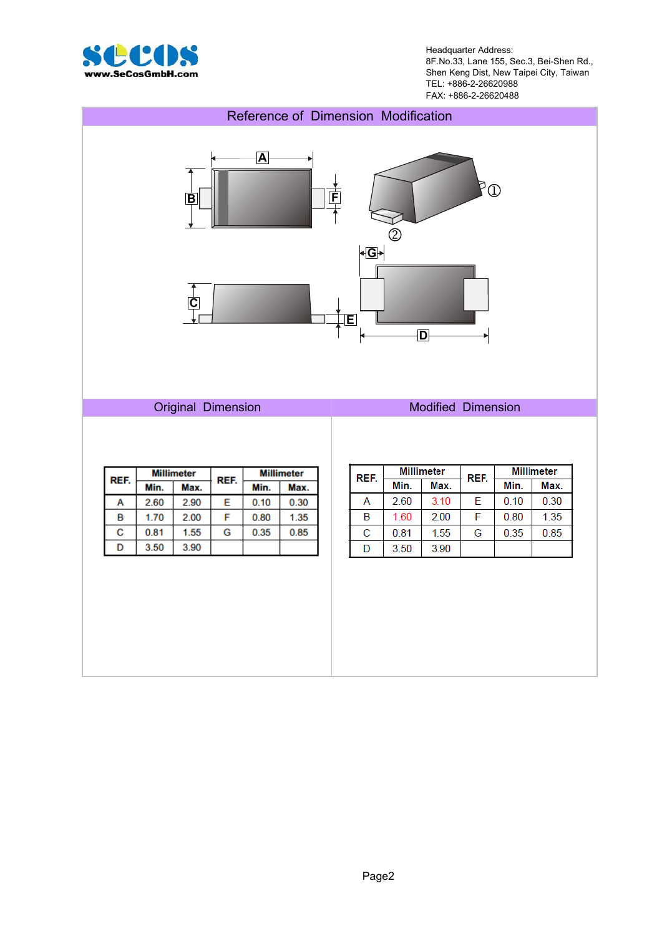

Headquarter Address: 8F.No.33, Lane 155, Sec.3, Bei-Shen Rd., Shen Keng Dist, New Taipei City, Taiwan TEL: +886-2-26620988 FAX: +886-2-26620488

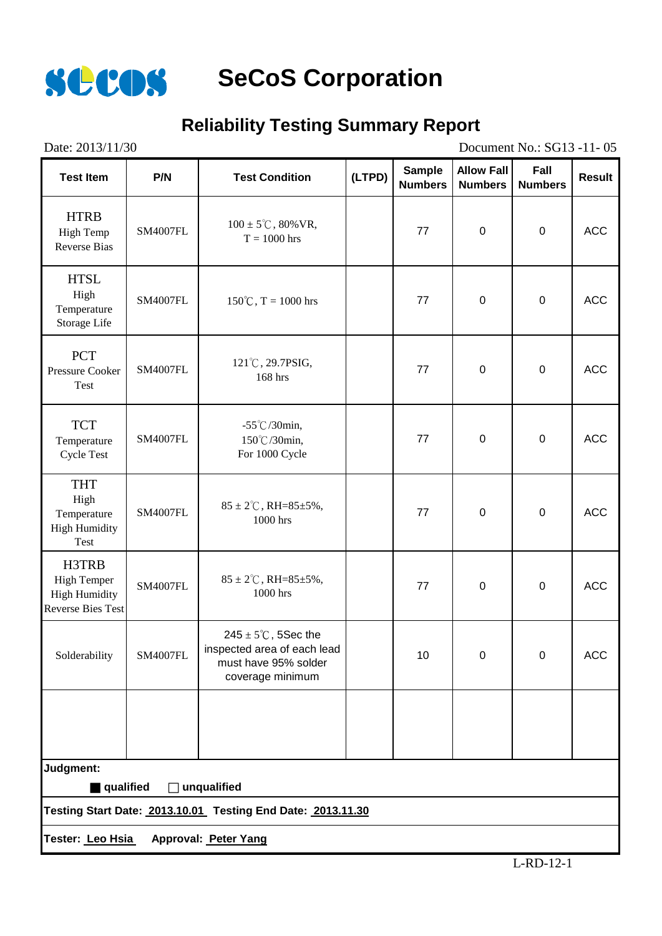

#### **Reliability Testing Summary Report**

| Date: 2013/11/30<br>Document No.: SG13 -11-05                                   |                                                             |                                                                                                            |        |                                 |                                     |                        |               |
|---------------------------------------------------------------------------------|-------------------------------------------------------------|------------------------------------------------------------------------------------------------------------|--------|---------------------------------|-------------------------------------|------------------------|---------------|
| <b>Test Item</b>                                                                | P/N                                                         | <b>Test Condition</b>                                                                                      | (LTPD) | <b>Sample</b><br><b>Numbers</b> | <b>Allow Fall</b><br><b>Numbers</b> | Fall<br><b>Numbers</b> | <b>Result</b> |
| <b>HTRB</b><br><b>High Temp</b><br><b>Reverse Bias</b>                          | <b>SM4007FL</b>                                             | $100 \pm 5^{\circ}$ C, 80% VR,<br>$T = 1000$ hrs                                                           |        | 77                              | $\mathbf 0$                         | $\pmb{0}$              | <b>ACC</b>    |
| <b>HTSL</b><br>High<br>Temperature<br>Storage Life                              | <b>SM4007FL</b>                                             | $150^{\circ}$ C, T = 1000 hrs                                                                              |        | 77                              | $\boldsymbol{0}$                    | $\pmb{0}$              | <b>ACC</b>    |
| <b>PCT</b><br><b>Pressure Cooker</b><br>Test                                    | <b>SM4007FL</b>                                             | 121°C, 29.7PSIG,<br>168 hrs                                                                                |        | 77                              | $\mathbf 0$                         | $\pmb{0}$              | <b>ACC</b>    |
| <b>TCT</b><br>Temperature<br><b>Cycle Test</b>                                  | <b>SM4007FL</b>                                             | -55°C/30min,<br>150℃/30min,<br>For 1000 Cycle                                                              |        | 77                              | $\boldsymbol{0}$                    | $\pmb{0}$              | <b>ACC</b>    |
| <b>THT</b><br>High<br>Temperature<br><b>High Humidity</b><br><b>Test</b>        | <b>SM4007FL</b>                                             | $85 \pm 2^{\circ}$ C, RH= $85 \pm 5\%$ ,<br>1000 hrs                                                       |        | 77                              | $\boldsymbol{0}$                    | $\pmb{0}$              | <b>ACC</b>    |
| H3TRB<br><b>High Temper</b><br><b>High Humidity</b><br><b>Reverse Bies Test</b> | <b>SM4007FL</b>                                             | $85 \pm 2^{\circ}$ C, RH= $85 \pm 5\%$ ,<br>1000 hrs                                                       |        | 77                              | $\boldsymbol{0}$                    | $\boldsymbol{0}$       | <b>ACC</b>    |
| Solderability                                                                   | <b>SM4007FL</b>                                             | $245 \pm 5^{\circ}$ C, 5Sec the<br>inspected area of each lead<br>must have 95% solder<br>coverage minimum |        | 10                              | 0                                   | $\mathbf 0$            | <b>ACC</b>    |
|                                                                                 |                                                             |                                                                                                            |        |                                 |                                     |                        |               |
| Judgment:                                                                       |                                                             |                                                                                                            |        |                                 |                                     |                        |               |
| qualified<br>$\Box$ unqualified                                                 |                                                             |                                                                                                            |        |                                 |                                     |                        |               |
|                                                                                 | Testing Start Date: 2013.10.01 Testing End Date: 2013.11.30 |                                                                                                            |        |                                 |                                     |                        |               |
| Tester: Leo Hsia<br>Approval: Peter Yang                                        |                                                             |                                                                                                            |        |                                 |                                     |                        |               |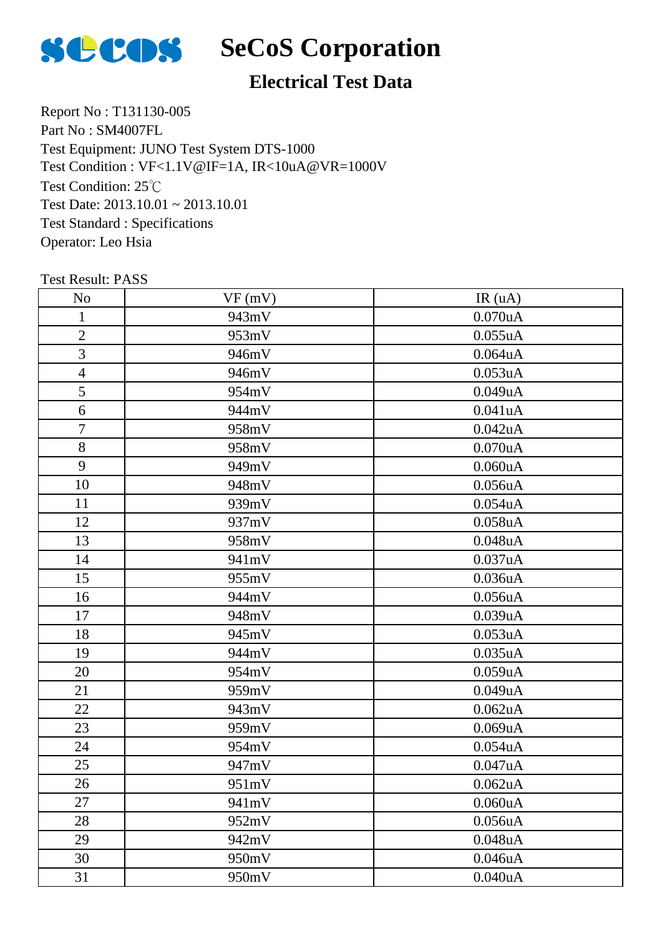

## **Electrical Test Data**

Report No : T131130-005 Part No : SM4007FL Test Equipment: JUNO Test System DTS-1000 Test Condition: 25℃ Test Date: 2013.10.01 ~ 2013.10.01 Test Standard : Specifications Operator: Leo Hsia Test Condition : VF<1.1V@IF=1A, IR<10uA@VR=1000V

| No                       | VF(mV) | IR(uA)        |
|--------------------------|--------|---------------|
| 1                        | 943mV  | 0.070uA       |
| $\overline{2}$           | 953mV  | 0.055uA       |
| 3                        | 946mV  | 0.064uA       |
| $\overline{\mathcal{L}}$ | 946mV  | 0.053uA       |
| 5                        | 954mV  | 0.049uA       |
| 6                        | 944mV  | 0.041uA       |
| $\overline{7}$           | 958mV  | 0.042uA       |
| 8                        | 958mV  | 0.070uA       |
| 9                        | 949mV  | 0.060uA       |
| 10                       | 948mV  | 0.056uA       |
| 11                       | 939mV  | 0.054uA       |
| 12                       | 937mV  | 0.058uA       |
| 13                       | 958mV  | 0.048uA       |
| 14                       | 941mV  | 0.037uA       |
| 15                       | 955mV  | 0.036uA       |
| 16                       | 944mV  | 0.056uA       |
| 17                       | 948mV  | 0.039uA       |
| 18                       | 945mV  | 0.053uA       |
| 19                       | 944mV  | 0.035uA       |
| 20                       | 954mV  | 0.059uA       |
| 21                       | 959mV  | 0.049uA       |
| 22                       | 943mV  | 0.062uA       |
| 23                       | 959mV  | 0.069uA       |
| 24                       | 954mV  | 0.054uA       |
| 25                       | 947mV  | 0.047uA       |
| 26                       | 951mV  | 0.062uA       |
| 27                       | 941mV  | 0.060uA       |
| 28                       | 952mV  | 0.056uA       |
| 29                       | 942mV  | $0.048$ u $A$ |
| 30                       | 950mV  | 0.046uA       |
| 31                       | 950mV  | 0.040uA       |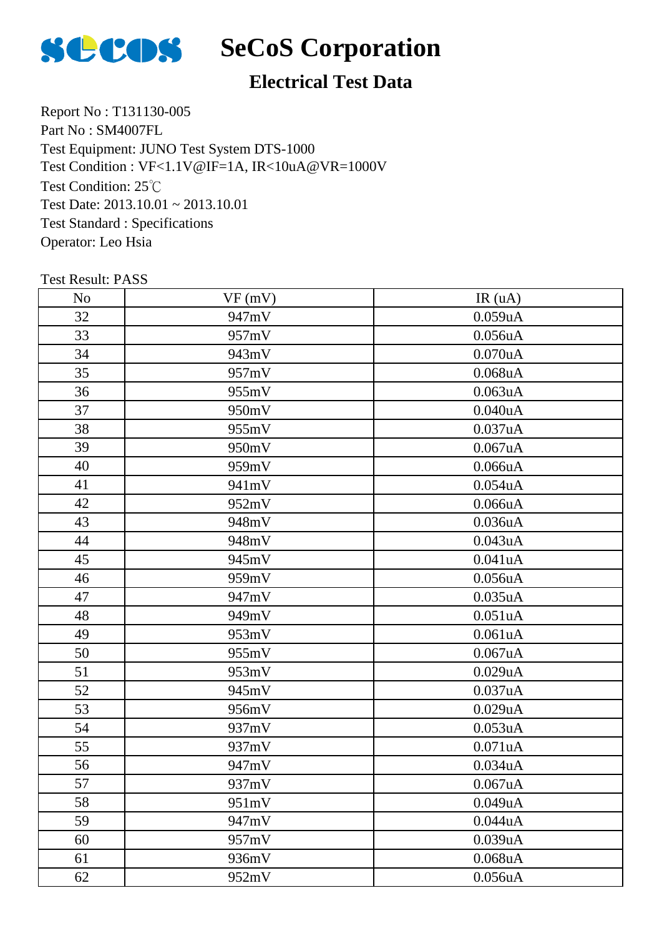

## **Electrical Test Data**

Report No : T131130-005 Part No : SM4007FL Test Equipment: JUNO Test System DTS-1000 Test Condition: 25℃ Test Date: 2013.10.01 ~ 2013.10.01 Test Standard : Specifications Operator: Leo Hsia Test Condition : VF<1.1V@IF=1A, IR<10uA@VR=1000V

| No | VF(mV) | IR(uA)        |
|----|--------|---------------|
| 32 | 947mV  | 0.059uA       |
| 33 | 957mV  | 0.056uA       |
| 34 | 943mV  | 0.070uA       |
| 35 | 957mV  | 0.068uA       |
| 36 | 955mV  | 0.063uA       |
| 37 | 950mV  | 0.040uA       |
| 38 | 955mV  | 0.037uA       |
| 39 | 950mV  | 0.067uA       |
| 40 | 959mV  | 0.066uA       |
| 41 | 941mV  | 0.054uA       |
| 42 | 952mV  | 0.066uA       |
| 43 | 948mV  | 0.036uA       |
| 44 | 948mV  | 0.043uA       |
| 45 | 945mV  | 0.041uA       |
| 46 | 959mV  | 0.056uA       |
| 47 | 947mV  | 0.035uA       |
| 48 | 949mV  | 0.051uA       |
| 49 | 953mV  | 0.061uA       |
| 50 | 955mV  | 0.067uA       |
| 51 | 953mV  | 0.029uA       |
| 52 | 945mV  | 0.037uA       |
| 53 | 956mV  | 0.029uA       |
| 54 | 937mV  | 0.053uA       |
| 55 | 937mV  | 0.071uA       |
| 56 | 947mV  | 0.034uA       |
| 57 | 937mV  | 0.067uA       |
| 58 | 951mV  | 0.049uA       |
| 59 | 947mV  | 0.044uA       |
| 60 | 957mV  | 0.039uA       |
| 61 | 936mV  | $0.068$ u $A$ |
| 62 | 952mV  | 0.056uA       |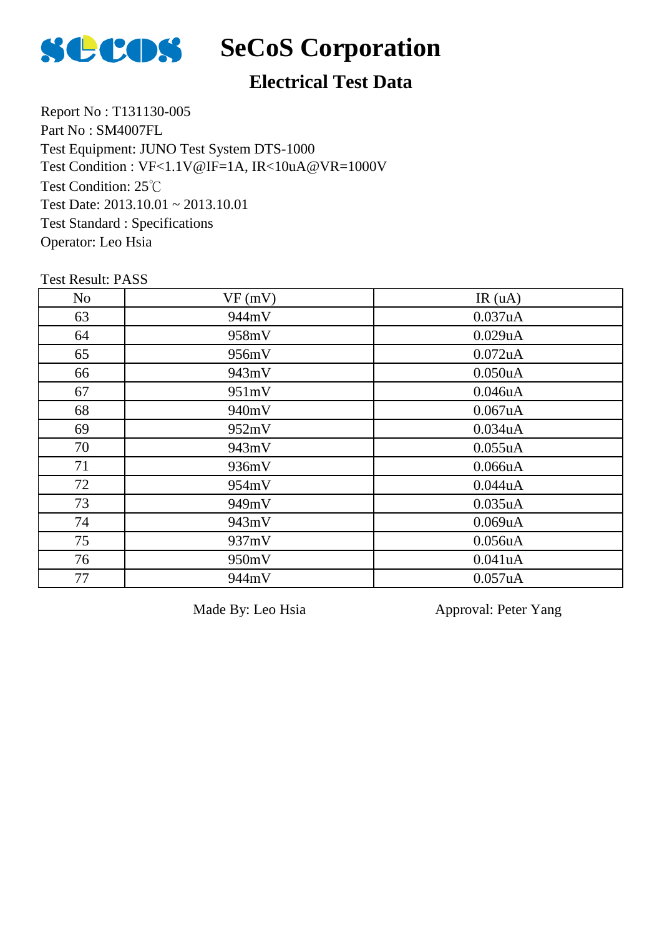

## **Electrical Test Data**

Report No : T131130-005 Part No : SM4007FL Test Equipment: JUNO Test System DTS-1000 Test Condition: 25℃ Test Date: 2013.10.01 ~ 2013.10.01 Test Standard : Specifications Operator: Leo Hsia Test Condition : VF<1.1V@IF=1A, IR<10uA@VR=1000V

Test Result: PASS

| N <sub>o</sub> | VF(mV) | IR(uA)     |
|----------------|--------|------------|
| 63             | 944mV  | 0.037uA    |
| 64             | 958mV  | 0.029uA    |
| 65             | 956mV  | $0.072$ uA |
| 66             | 943mV  | 0.050uA    |
| 67             | 951mV  | 0.046uA    |
| 68             | 940mV  | 0.067uA    |
| 69             | 952mV  | 0.034uA    |
| 70             | 943mV  | 0.055uA    |
| 71             | 936mV  | 0.066uA    |
| 72             | 954mV  | 0.044uA    |
| 73             | 949mV  | 0.035uA    |
| 74             | 943mV  | 0.069uA    |
| 75             | 937mV  | 0.056uA    |
| 76             | 950mV  | 0.041uA    |
| 77             | 944mV  | 0.057uA    |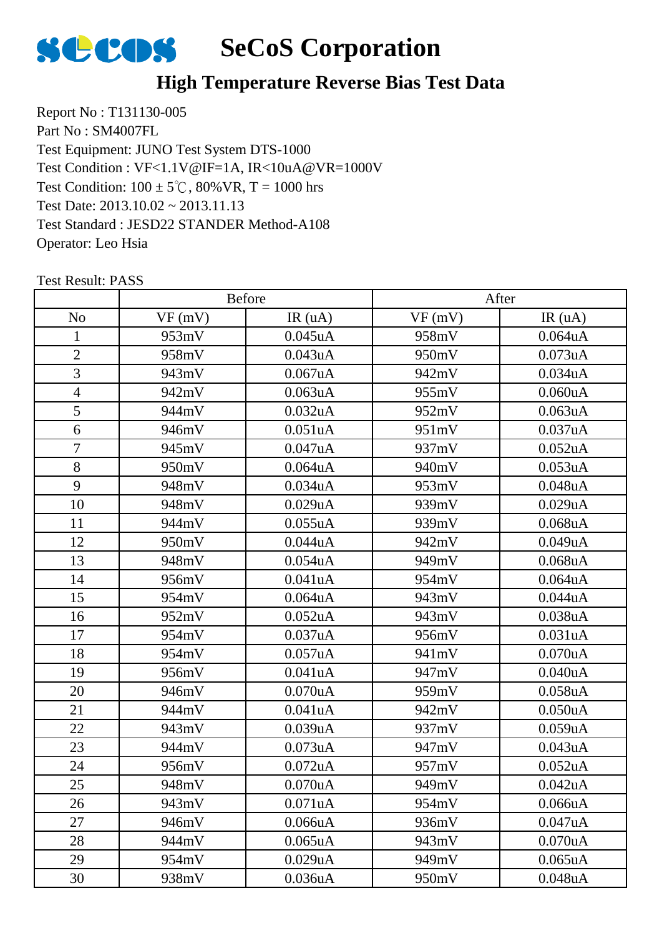

#### **High Temperature Reverse Bias Test Data**

Report No : T131130-005 Part No : SM4007FL Test Equipment: JUNO Test System DTS-1000 Test Condition:  $100 \pm 5^{\circ}$ C,  $80\%$  VR, T = 1000 hrs Test Date: 2013.10.02 ~ 2013.11.13 Test Standard : JESD22 STANDER Method-A108 Operator: Leo Hsia Test Condition : VF<1.1V@IF=1A, IR<10uA@VR=1000V

|                | Before |               | After  |               |
|----------------|--------|---------------|--------|---------------|
| N <sub>o</sub> | VF(mV) | IR $(uA)$     | VF(mV) | IR(uA)        |
| $\mathbf{1}$   | 953mV  | $0.045$ uA    | 958mV  | $0.064$ u $A$ |
| $\overline{2}$ | 958mV  | 0.043uA       | 950mV  | 0.073uA       |
| 3              | 943mV  | $0.067$ uA    | 942mV  | 0.034uA       |
| $\overline{4}$ | 942mV  | 0.063uA       | 955mV  | 0.060uA       |
| 5              | 944mV  | 0.032uA       | 952mV  | 0.063uA       |
| 6              | 946mV  | 0.051uA       | 951mV  | 0.037uA       |
| $\overline{7}$ | 945mV  | 0.047uA       | 937mV  | 0.052uA       |
| 8              | 950mV  | $0.064$ u $A$ | 940mV  | 0.053uA       |
| 9              | 948mV  | $0.034$ uA    | 953mV  | 0.048uA       |
| 10             | 948mV  | 0.029uA       | 939mV  | 0.029uA       |
| 11             | 944mV  | 0.055uA       | 939mV  | $0.068$ u $A$ |
| 12             | 950mV  | 0.044uA       | 942mV  | 0.049uA       |
| 13             | 948mV  | $0.054$ u $A$ | 949mV  | $0.068$ u $A$ |
| 14             | 956mV  | 0.041uA       | 954mV  | 0.064uA       |
| 15             | 954mV  | $0.064$ u $A$ | 943mV  | 0.044uA       |
| 16             | 952mV  | $0.052$ uA    | 943mV  | 0.038uA       |
| 17             | 954mV  | 0.037uA       | 956mV  | 0.031uA       |
| 18             | 954mV  | 0.057uA       | 941mV  | 0.070uA       |
| 19             | 956mV  | 0.041uA       | 947mV  | 0.040uA       |
| 20             | 946mV  | $0.070$ u $A$ | 959mV  | $0.058$ u $A$ |
| 21             | 944mV  | 0.041uA       | 942mV  | 0.050uA       |
| 22             | 943mV  | 0.039uA       | 937mV  | 0.059uA       |
| 23             | 944mV  | 0.073uA       | 947mV  | 0.043uA       |
| 24             | 956mV  | $0.072$ uA    | 957mV  | 0.052uA       |
| 25             | 948mV  | $0.070$ uA    | 949mV  | $0.042$ uA    |
| 26             | 943mV  | 0.071uA       | 954mV  | 0.066uA       |
| 27             | 946mV  | 0.066uA       | 936mV  | 0.047uA       |
| 28             | 944mV  | $0.065$ uA    | 943mV  | 0.070uA       |
| 29             | 954mV  | 0.029uA       | 949mV  | 0.065uA       |
| 30             | 938mV  | 0.036uA       | 950mV  | 0.048uA       |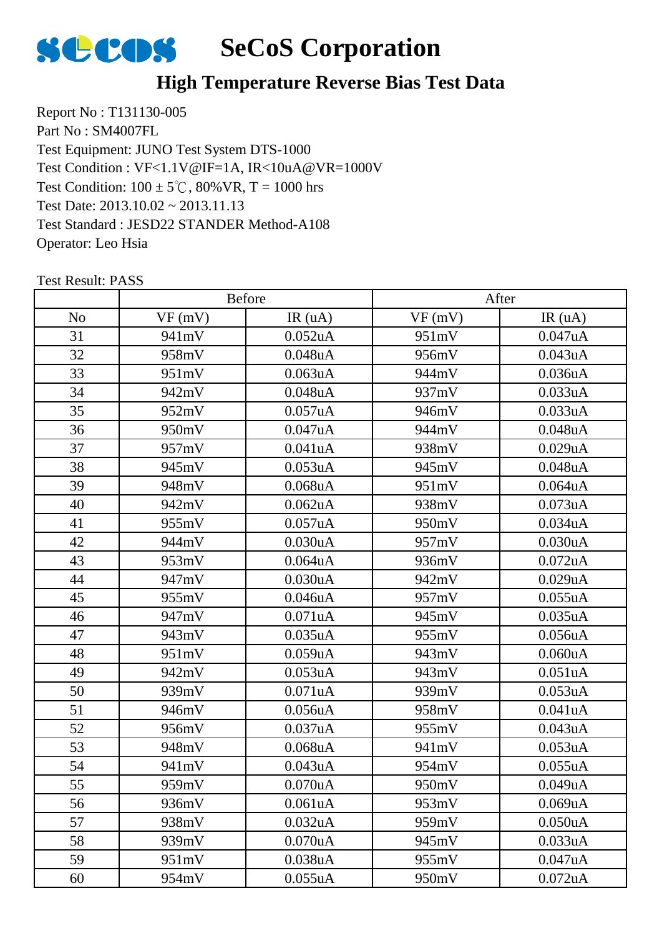

#### **High Temperature Reverse Bias Test Data**

Report No : T131130-005 Part No : SM4007FL Test Equipment: JUNO Test System DTS-1000 Test Condition:  $100 \pm 5^{\circ}$ C,  $80\%$  VR, T = 1000 hrs Test Date: 2013.10.02 ~ 2013.11.13 Test Standard : JESD22 STANDER Method-A108 Operator: Leo Hsia Test Condition : VF<1.1V@IF=1A, IR<10uA@VR=1000V

|                | <b>Before</b> |                      | After  |            |
|----------------|---------------|----------------------|--------|------------|
| N <sub>o</sub> | VF(mV)        | IR $(uA)$            | VF(mV) | IR(uA)     |
| 31             | 941mV         | $0.052$ uA           | 951mV  | 0.047uA    |
| 32             | 958mV         | 0.048uA              | 956mV  | 0.043uA    |
| 33             | 951mV         | $0.063$ uA           | 944mV  | 0.036uA    |
| 34             | 942mV         | $0.048$ uA           | 937mV  | 0.033uA    |
| 35             | 952mV         | 0.057uA              | 946mV  | 0.033uA    |
| 36             | 950mV         | 0.047uA              | 944mV  | 0.048uA    |
| 37             | 957mV         | 0.041uA              | 938mV  | 0.029uA    |
| 38             | 945mV         | 0.053uA              | 945mV  | 0.048uA    |
| 39             | 948mV         | $0.068$ u $A$        | 951mV  | 0.064uA    |
| 40             | 942mV         | $0.062$ uA           | 938mV  | 0.073uA    |
| 41             | 955mV         | 0.057uA              | 950mV  | 0.034uA    |
| 42             | 944mV         | 0.030uA              | 957mV  | 0.030uA    |
| 43             | 953mV         | $0.064$ u $A$        | 936mV  | $0.072$ uA |
| 44             | 947mV         | 0.030uA              | 942mV  | 0.029uA    |
| 45             | 955mV         | $0.046$ uA           | 957mV  | 0.055uA    |
| 46             | 947mV         | 0.071uA              | 945mV  | 0.035uA    |
| 47             | 943mV         | $0.035$ uA           | 955mV  | 0.056uA    |
| 48             | 951mV         | 0.059uA              | 943mV  | 0.060uA    |
| 49             | 942mV         | 0.053uA              | 943mV  | 0.051uA    |
| 50             | 939mV         | 0.071uA              | 939mV  | 0.053uA    |
| 51             | 946mV         | 0.056uA              | 958mV  | 0.041uA    |
| 52             | 956mV         | 0.037uA              | 955mV  | 0.043uA    |
| 53             | 948mV         | $0.068$ uA           | 941mV  | 0.053uA    |
| 54             | 941mV         | 0.043uA              | 954mV  | 0.055uA    |
| 55             | 959mV         | $0.070$ uA           | 950mV  | 0.049uA    |
| 56             | 936mV         | 0.061 <sub>u</sub> A | 953mV  | 0.069uA    |
| 57             | 938mV         | 0.032uA              | 959mV  | 0.050uA    |
| 58             | 939mV         | 0.070uA              | 945mV  | 0.033uA    |
| 59             | 951mV         | 0.038uA              | 955mV  | 0.047uA    |
| 60             | 954mV         | 0.055uA              | 950mV  | $0.072$ uA |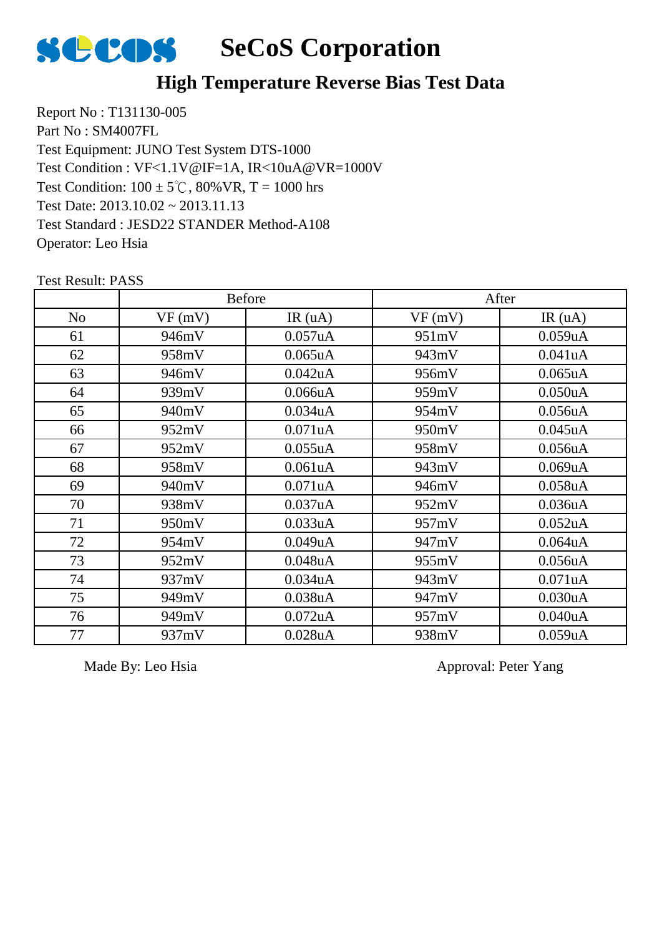

#### **High Temperature Reverse Bias Test Data**

Report No : T131130-005 Part No : SM4007FL Test Equipment: JUNO Test System DTS-1000 Test Condition:  $100 \pm 5^{\circ}$ C,  $80\%$  VR, T = 1000 hrs Test Date: 2013.10.02 ~ 2013.11.13 Test Standard : JESD22 STANDER Method-A108 Operator: Leo Hsia Test Condition : VF<1.1V@IF=1A, IR<10uA@VR=1000V

Test Result: PASS No  $\vert$  VF (mV)  $\vert$  IR (uA)  $\vert$  VF (mV)  $\vert$  IR (uA) Before After 946mV 0.057uA 951mV 0.059uA 62 | 958mV | 0.065uA | 943mV | 0.041uA 946mV 0.042uA 956mV 0.065uA 939mV 0.066uA 959mV 0.050uA 940mV 0.034uA 954mV 0.056uA 952mV 0.071uA 950mV 0.045uA 952mV 0.055uA 958mV 0.056uA 958mV 0.061uA 943mV 0.069uA 69 | 940mV | 0.071uA | 946mV | 0.058uA 938mV 0.037uA 952mV 0.036uA 950mV 0.033uA 957mV 0.052uA 954mV 0.049uA 947mV 0.064uA 952mV 0.048uA 955mV 0.056uA 937mV 0.034uA 943mV 0.071uA 949mV 0.038uA 947mV 0.030uA 949mV 0.072uA 957mV 0.040uA 937mV 0.028uA 938mV 0.059uA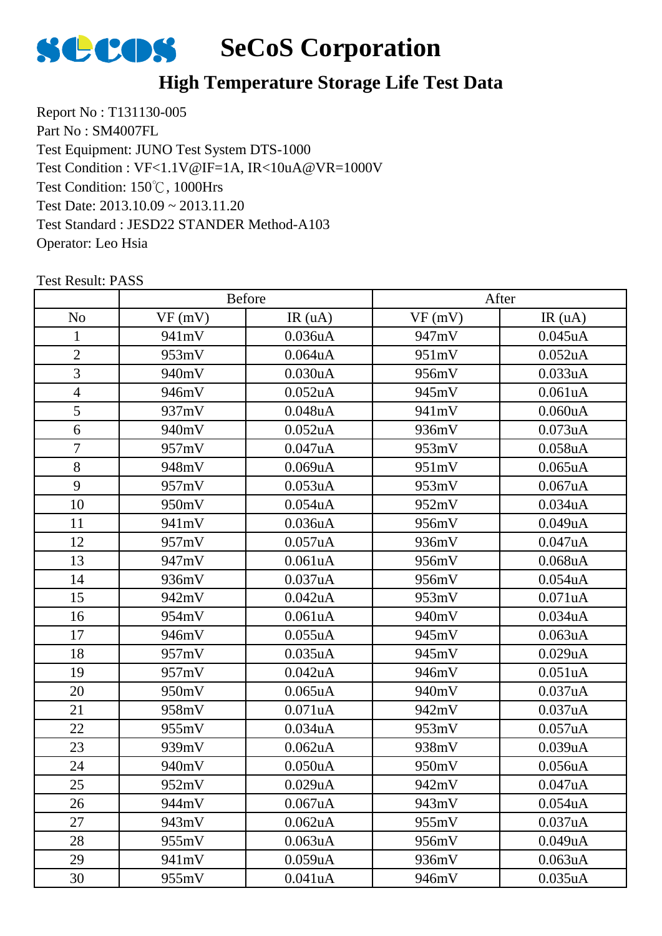

## **High Temperature Storage Life Test Data**

Report No : T131130-005 Part No : SM4007FL Test Equipment: JUNO Test System DTS-1000 Test Condition: 150℃, 1000Hrs Test Date: 2013.10.09 ~ 2013.11.20 Test Standard : JESD22 STANDER Method-A103 Operator: Leo Hsia Test Condition : VF<1.1V@IF=1A, IR<10uA@VR=1000V

|                |        | Before               | After  |                      |  |
|----------------|--------|----------------------|--------|----------------------|--|
| N <sub>o</sub> | VF(mV) | IR(uA)               | VF(mV) | IR(uA)               |  |
| 1              | 941mV  | 0.036uA              | 947mV  | $0.045$ uA           |  |
| $\overline{2}$ | 953mV  | $0.064$ u $A$        | 951mV  | 0.052uA              |  |
| 3              | 940mV  | 0.030uA              | 956mV  | 0.033uA              |  |
| $\overline{4}$ | 946mV  | $0.052$ uA           | 945mV  | 0.061uA              |  |
| 5              | 937mV  | 0.048uA              | 941mV  | 0.060uA              |  |
| 6              | 940mV  | 0.052 <sub>u</sub> A | 936mV  | 0.073uA              |  |
| $\overline{7}$ | 957mV  | 0.047uA              | 953mV  | 0.058uA              |  |
| 8              | 948mV  | 0.069uA              | 951mV  | $0.065$ uA           |  |
| 9              | 957mV  | 0.053uA              | 953mV  | 0.067uA              |  |
| 10             | 950mV  | $0.054$ u $A$        | 952mV  | 0.034uA              |  |
| 11             | 941mV  | 0.036uA              | 956mV  | 0.049uA              |  |
| 12             | 957mV  | 0.057uA              | 936mV  | 0.047uA              |  |
| 13             | 947mV  | 0.061uA              | 956mV  | $0.068$ u $A$        |  |
| 14             | 936mV  | 0.037uA              | 956mV  | 0.054uA              |  |
| 15             | 942mV  | 0.042uA              | 953mV  | 0.071uA              |  |
| 16             | 954mV  | 0.061uA              | 940mV  | 0.034uA              |  |
| 17             | 946mV  | 0.055uA              | 945mV  | 0.063uA              |  |
| 18             | 957mV  | 0.035uA              | 945mV  | 0.029uA              |  |
| 19             | 957mV  | 0.042uA              | 946mV  | 0.051uA              |  |
| 20             | 950mV  | $0.065$ uA           | 940mV  | 0.037uA              |  |
| 21             | 958mV  | 0.071uA              | 942mV  | 0.037uA              |  |
| 22             | 955mV  | 0.034uA              | 953mV  | 0.057uA              |  |
| 23             | 939mV  | $0.062$ uA           | 938mV  | 0.039uA              |  |
| 24             | 940mV  | 0.050uA              | 950mV  | 0.056uA              |  |
| 25             | 952mV  | 0.029uA              | 942mV  | 0.047uA              |  |
| 26             | 944mV  | 0.067uA              | 943mV  | 0.054 <sub>u</sub> A |  |
| 27             | 943mV  | 0.062uA              | 955mV  | 0.037uA              |  |
| 28             | 955mV  | 0.063uA              | 956mV  | 0.049uA              |  |
| 29             | 941mV  | 0.059uA              | 936mV  | $0.063$ uA           |  |
| 30             | 955mV  | 0.041uA              | 946mV  | 0.035uA              |  |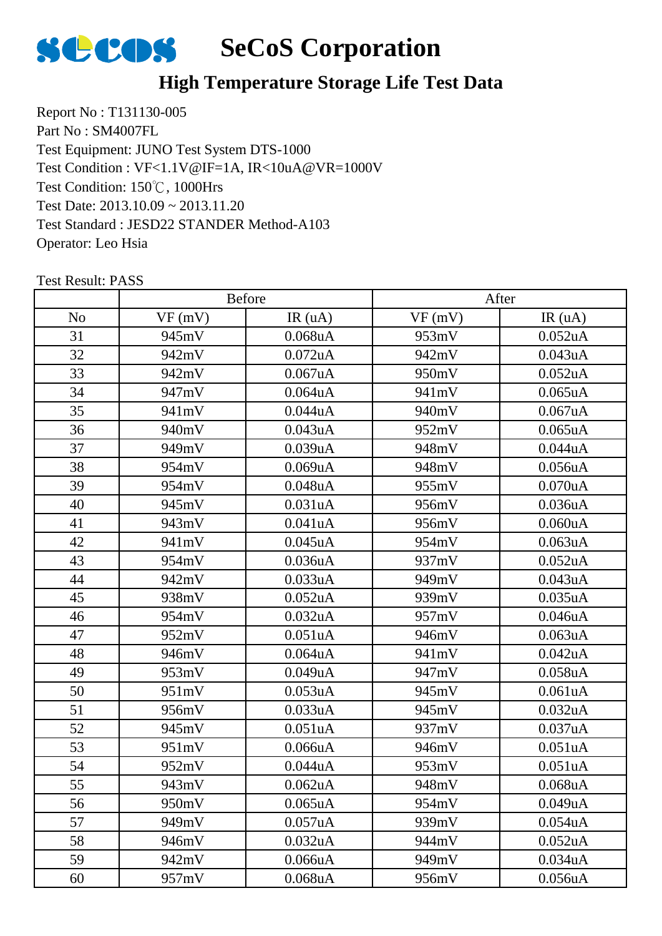

## **High Temperature Storage Life Test Data**

Report No : T131130-005 Part No : SM4007FL Test Equipment: JUNO Test System DTS-1000 Test Condition: 150℃, 1000Hrs Test Date: 2013.10.09 ~ 2013.11.20 Test Standard : JESD22 STANDER Method-A103 Operator: Leo Hsia Test Condition : VF<1.1V@IF=1A, IR<10uA@VR=1000V

|                |        | Before               |        | After                |  |
|----------------|--------|----------------------|--------|----------------------|--|
| N <sub>o</sub> | VF(mV) | IR(uA)               | VF(mV) | IR(uA)               |  |
| 31             | 945mV  | $0.068$ u $A$        | 953mV  | $0.052$ uA           |  |
| 32             | 942mV  | $0.072$ uA           | 942mV  | 0.043uA              |  |
| 33             | 942mV  | 0.067uA              | 950mV  | 0.052uA              |  |
| 34             | 947mV  | $0.064$ u $A$        | 941mV  | $0.065$ uA           |  |
| 35             | 941mV  | 0.044uA              | 940mV  | 0.067uA              |  |
| 36             | 940mV  | 0.043uA              | 952mV  | $0.065$ uA           |  |
| 37             | 949mV  | 0.039uA              | 948mV  | 0.044uA              |  |
| 38             | 954mV  | 0.069uA              | 948mV  | 0.056uA              |  |
| 39             | 954mV  | 0.048uA              | 955mV  | 0.070uA              |  |
| 40             | 945mV  | 0.031uA              | 956mV  | $0.036$ u $A$        |  |
| 41             | 943mV  | 0.041uA              | 956mV  | 0.060uA              |  |
| 42             | 941mV  | $0.045$ uA           | 954mV  | 0.063uA              |  |
| 43             | 954mV  | 0.036uA              | 937mV  | 0.052uA              |  |
| 44             | 942mV  | 0.033uA              | 949mV  | 0.043uA              |  |
| 45             | 938mV  | $0.052$ uA           | 939mV  | $0.035$ uA           |  |
| 46             | 954mV  | 0.032 <sub>u</sub> A | 957mV  | 0.046uA              |  |
| 47             | 952mV  | 0.051uA              | 946mV  | 0.063uA              |  |
| 48             | 946mV  | $0.064$ u $A$        | 941mV  | 0.042uA              |  |
| 49             | 953mV  | 0.049uA              | 947mV  | $0.058$ u $A$        |  |
| 50             | 951mV  | 0.053uA              | 945mV  | 0.061uA              |  |
| 51             | 956mV  | 0.033uA              | 945mV  | 0.032 <sub>u</sub> A |  |
| 52             | 945mV  | 0.051uA              | 937mV  | 0.037uA              |  |
| 53             | 951mV  | 0.066uA              | 946mV  | 0.051uA              |  |
| 54             | 952mV  | 0.044uA              | 953mV  | 0.051uA              |  |
| 55             | 943mV  | 0.062uA              | 948mV  | 0.068uA              |  |
| 56             | 950mV  | $0.065$ uA           | 954mV  | 0.049uA              |  |
| 57             | 949mV  | 0.057uA              | 939mV  | 0.054uA              |  |
| 58             | 946mV  | 0.032uA              | 944mV  | 0.052uA              |  |
| 59             | 942mV  | 0.066uA              | 949mV  | 0.034uA              |  |
| 60             | 957mV  | $0.068$ u $A$        | 956mV  | $0.056$ uA           |  |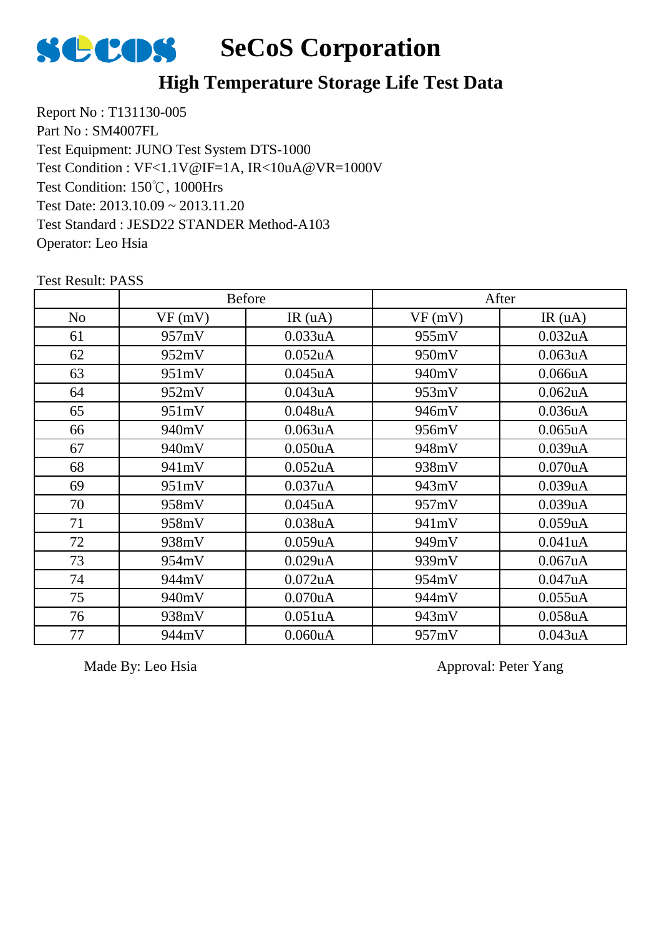

#### **High Temperature Storage Life Test Data**

Report No : T131130-005 Part No : SM4007FL Test Equipment: JUNO Test System DTS-1000 Test Condition: 150℃, 1000Hrs Test Date: 2013.10.09 ~ 2013.11.20 Test Standard : JESD22 STANDER Method-A103 Operator: Leo Hsia Test Condition : VF<1.1V@IF=1A, IR<10uA@VR=1000V

No  $\vert$  VF (mV)  $\vert$  IR (uA)  $\vert$  VF (mV)  $\vert$  IR (uA) Before After 957mV 0.033uA 955mV 0.032uA 62 | 952mV | 0.052uA | 950mV | 0.063uA 63 | 951mV | 0.045uA | 940mV | 0.066uA 952mV 0.043uA 953mV 0.062uA 951mV 0.048uA 946mV 0.036uA 940mV 0.063uA 956mV 0.065uA 940mV 0.050uA 948mV 0.039uA 68 941mV 0.052uA 938mV 0.070uA 951mV 0.037uA 943mV 0.039uA 958mV 0.045uA 957mV 0.039uA 71 | 958mV | 0.038uA | 941mV | 0.059uA 938mV 0.059uA 949mV 0.041uA 954mV 0.029uA 939mV 0.067uA 944mV 0.072uA 954mV 0.047uA 940mV 0.070uA 944mV 0.055uA 938mV 0.051uA 943mV 0.058uA 944mV 0.060uA 957mV 0.043uA

Test Result: PASS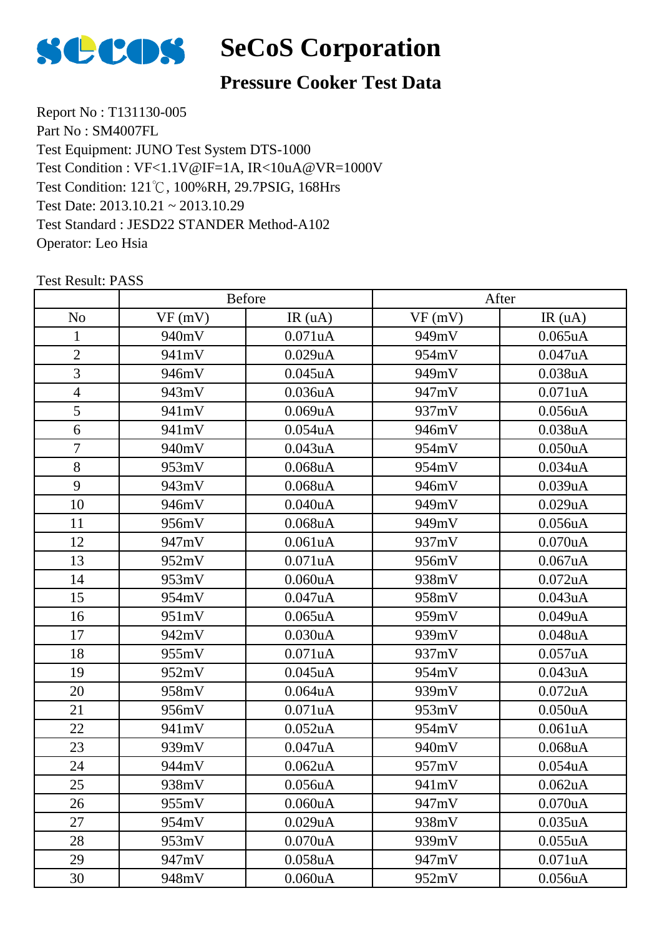

#### **Pressure Cooker Test Data**

Report No : T131130-005 Part No : SM4007FL Test Equipment: JUNO Test System DTS-1000 Test Condition: 121℃, 100%RH, 29.7PSIG, 168Hrs Test Date: 2013.10.21 ~ 2013.10.29 Test Standard : JESD22 STANDER Method-A102 Operator: Leo Hsia Test Condition : VF<1.1V@IF=1A, IR<10uA@VR=1000V

|                |        | Before        | After  |                      |
|----------------|--------|---------------|--------|----------------------|
| N <sub>o</sub> | VF(mV) | IR(uA)        | VF(mV) | IR(uA)               |
| 1              | 940mV  | 0.071uA       | 949mV  | 0.065uA              |
| $\overline{2}$ | 941mV  | 0.029uA       | 954mV  | 0.047uA              |
| 3              | 946mV  | $0.045$ uA    | 949mV  | 0.038uA              |
| $\overline{4}$ | 943mV  | 0.036uA       | 947mV  | 0.071uA              |
| 5              | 941mV  | 0.069uA       | 937mV  | 0.056uA              |
| 6              | 941mV  | $0.054$ u $A$ | 946mV  | 0.038uA              |
| $\overline{7}$ | 940mV  | 0.043uA       | 954mV  | 0.050uA              |
| 8              | 953mV  | $0.068$ u $A$ | 954mV  | 0.034uA              |
| 9              | 943mV  | $0.068$ u $A$ | 946mV  | 0.039uA              |
| 10             | 946mV  | 0.040uA       | 949mV  | 0.029uA              |
| 11             | 956mV  | $0.068$ uA    | 949mV  | 0.056uA              |
| 12             | 947mV  | 0.061uA       | 937mV  | 0.070uA              |
| 13             | 952mV  | 0.071uA       | 956mV  | 0.067uA              |
| 14             | 953mV  | 0.060uA       | 938mV  | $0.072$ uA           |
| 15             | 954mV  | 0.047uA       | 958mV  | 0.043uA              |
| 16             | 951mV  | $0.065$ uA    | 959mV  | 0.049uA              |
| 17             | 942mV  | 0.030uA       | 939mV  | 0.048uA              |
| 18             | 955mV  | 0.071uA       | 937mV  | 0.057uA              |
| 19             | 952mV  | $0.045$ uA    | 954mV  | 0.043uA              |
| 20             | 958mV  | $0.064$ u $A$ | 939mV  | $0.072$ uA           |
| 21             | 956mV  | 0.071uA       | 953mV  | 0.050uA              |
| 22             | 941mV  | $0.052$ uA    | 954mV  | 0.061uA              |
| 23             | 939mV  | 0.047uA       | 940mV  | $0.068$ u $A$        |
| 24             | 944mV  | $0.062$ uA    | 957mV  | 0.054uA              |
| 25             | 938mV  | 0.056uA       | 941mV  | 0.062uA              |
| 26             | 955mV  | 0.060uA       | 947mV  | 0.070 <sub>u</sub> A |
| 27             | 954mV  | 0.029uA       | 938mV  | 0.035uA              |
| 28             | 953mV  | 0.070uA       | 939mV  | 0.055uA              |
| 29             | 947mV  | $0.058$ u $A$ | 947mV  | 0.071uA              |
| 30             | 948mV  | 0.060uA       | 952mV  | 0.056uA              |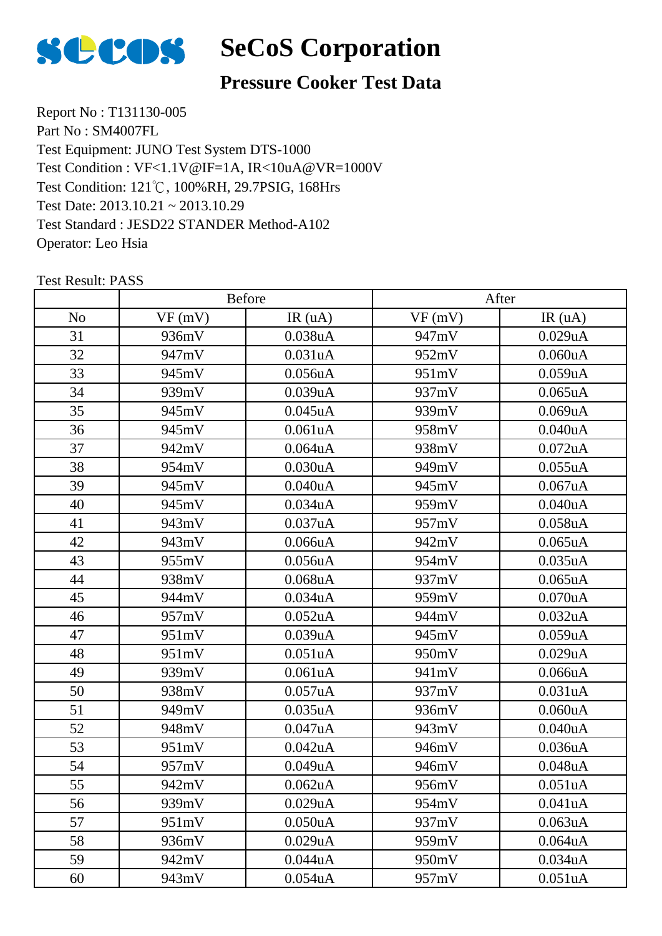

#### **Pressure Cooker Test Data**

Report No : T131130-005 Part No : SM4007FL Test Equipment: JUNO Test System DTS-1000 Test Condition: 121℃, 100%RH, 29.7PSIG, 168Hrs Test Date: 2013.10.21 ~ 2013.10.29 Test Standard : JESD22 STANDER Method-A102 Operator: Leo Hsia Test Condition : VF<1.1V@IF=1A, IR<10uA@VR=1000V

|                |        | Before               | After  |            |  |
|----------------|--------|----------------------|--------|------------|--|
| N <sub>o</sub> | VF(mV) | IR(uA)               | VF(mV) | IR(uA)     |  |
| 31             | 936mV  | 0.038uA              | 947mV  | 0.029uA    |  |
| 32             | 947mV  | 0.031uA              | 952mV  | 0.060uA    |  |
| 33             | 945mV  | 0.056uA              | 951mV  | 0.059uA    |  |
| 34             | 939mV  | 0.039uA              | 937mV  | $0.065$ uA |  |
| 35             | 945mV  | $0.045$ uA           | 939mV  | 0.069uA    |  |
| 36             | 945mV  | 0.061uA              | 958mV  | 0.040uA    |  |
| 37             | 942mV  | $0.064$ u $A$        | 938mV  | $0.072$ uA |  |
| 38             | 954mV  | 0.030uA              | 949mV  | 0.055uA    |  |
| 39             | 945mV  | 0.040uA              | 945mV  | 0.067uA    |  |
| 40             | 945mV  | 0.034uA              | 959mV  | 0.040uA    |  |
| 41             | 943mV  | 0.037uA              | 957mV  | 0.058uA    |  |
| 42             | 943mV  | 0.066uA              | 942mV  | $0.065$ uA |  |
| 43             | 955mV  | 0.056uA              | 954mV  | 0.035uA    |  |
| 44             | 938mV  | $0.068$ u $A$        | 937mV  | $0.065$ uA |  |
| 45             | 944mV  | 0.034uA              | 959mV  | 0.070uA    |  |
| 46             | 957mV  | 0.052 <sub>u</sub> A | 944mV  | 0.032uA    |  |
| 47             | 951mV  | 0.039uA              | 945mV  | 0.059uA    |  |
| 48             | 951mV  | 0.051uA              | 950mV  | 0.029uA    |  |
| 49             | 939mV  | 0.061uA              | 941mV  | 0.066uA    |  |
| 50             | 938mV  | 0.057uA              | 937mV  | 0.031uA    |  |
| 51             | 949mV  | $0.035$ uA           | 936mV  | 0.060uA    |  |
| 52             | 948mV  | 0.047uA              | 943mV  | 0.040uA    |  |
| 53             | 951mV  | $0.042$ uA           | 946mV  | 0.036uA    |  |
| 54             | 957mV  | 0.049uA              | 946mV  | 0.048uA    |  |
| 55             | 942mV  | $0.062$ uA           | 956mV  | 0.051uA    |  |
| 56             | 939mV  | 0.029uA              | 954mV  | 0.041uA    |  |
| 57             | 951mV  | 0.050uA              | 937mV  | 0.063uA    |  |
| 58             | 936mV  | 0.029uA              | 959mV  | 0.064uA    |  |
| 59             | 942mV  | 0.044uA              | 950mV  | 0.034uA    |  |
| 60             | 943mV  | 0.054uA              | 957mV  | 0.051uA    |  |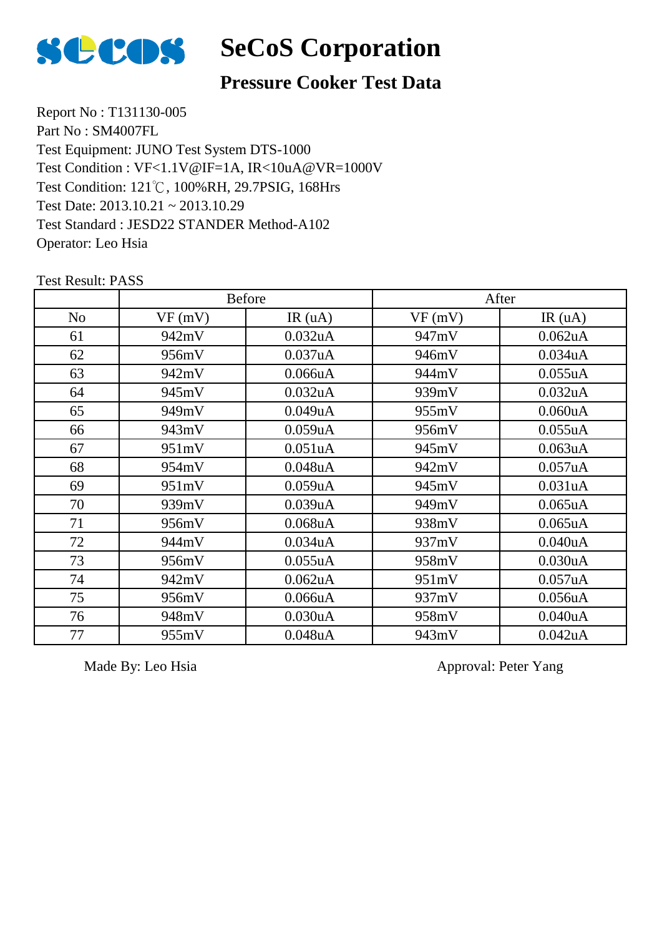

#### **Pressure Cooker Test Data**

Report No : T131130-005 Part No : SM4007FL Test Equipment: JUNO Test System DTS-1000 Test Condition: 121℃, 100%RH, 29.7PSIG, 168Hrs Test Date: 2013.10.21 ~ 2013.10.29 Test Standard : JESD22 STANDER Method-A102 Operator: Leo Hsia Test Condition : VF<1.1V@IF=1A, IR<10uA@VR=1000V

Test Result: PASS

|                |        | <b>Before</b>        |        | After                |
|----------------|--------|----------------------|--------|----------------------|
| N <sub>o</sub> | VF(mV) | IR(uA)               | VF(mV) | IR(uA)               |
| 61             | 942mV  | 0.032 <sub>u</sub> A | 947mV  | 0.062 <sub>u</sub> A |
| 62             | 956mV  | 0.037uA              | 946mV  | 0.034 <sub>u</sub> A |
| 63             | 942mV  | 0.066uA              | 944mV  | 0.055uA              |
| 64             | 945mV  | 0.032 <sub>u</sub> A | 939mV  | 0.032 <sub>u</sub> A |
| 65             | 949mV  | 0.049uA              | 955mV  | 0.060uA              |
| 66             | 943mV  | 0.059uA              | 956mV  | 0.055uA              |
| 67             | 951mV  | 0.051uA              | 945mV  | $0.063$ uA           |
| 68             | 954mV  | $0.048$ u $A$        | 942mV  | 0.057uA              |
| 69             | 951mV  | 0.059uA              | 945mV  | 0.031uA              |
| 70             | 939mV  | 0.039uA              | 949mV  | $0.065$ uA           |
| 71             | 956mV  | $0.068$ u $A$        | 938mV  | $0.065$ uA           |
| 72             | 944mV  | 0.034uA              | 937mV  | 0.040uA              |
| 73             | 956mV  | 0.055uA              | 958mV  | 0.030uA              |
| 74             | 942mV  | 0.062 <sub>u</sub> A | 951mV  | 0.057uA              |
| 75             | 956mV  | 0.066uA              | 937mV  | 0.056uA              |
| 76             | 948mV  | 0.030uA              | 958mV  | 0.040uA              |
| 77             | 955mV  | $0.048$ u $A$        | 943mV  | $0.042$ uA           |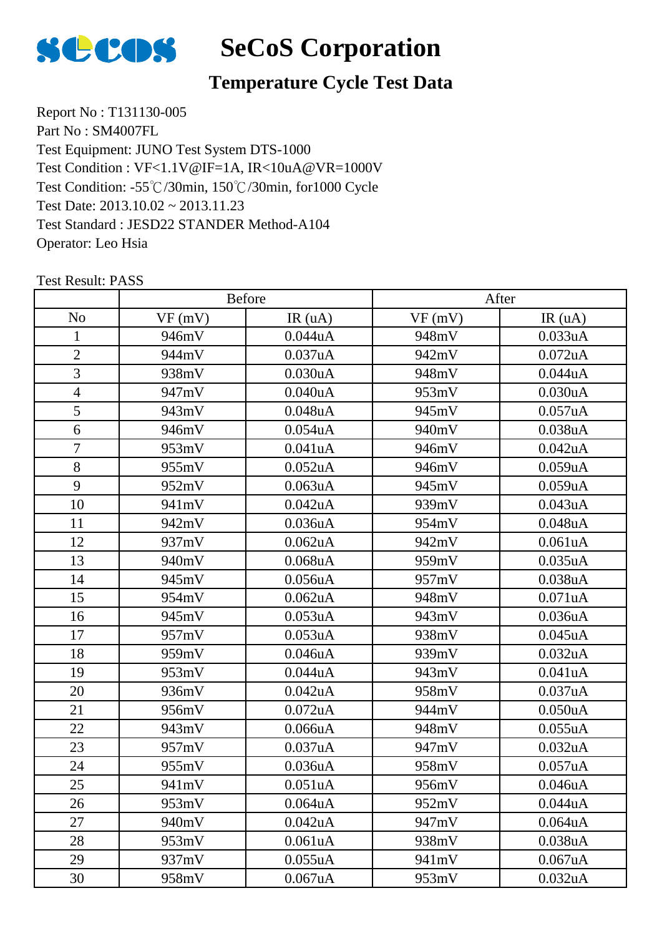

#### **Temperature Cycle Test Data**

Report No : T131130-005 Part No : SM4007FL Test Equipment: JUNO Test System DTS-1000 Test Condition: -55℃/30min, 150℃/30min, for1000 Cycle Test Date: 2013.10.02 ~ 2013.11.23 Test Standard : JESD22 STANDER Method-A104 Operator: Leo Hsia Test Condition : VF<1.1V@IF=1A, IR<10uA@VR=1000V

|                | Before |                      | After  |                      |
|----------------|--------|----------------------|--------|----------------------|
| N <sub>o</sub> | VF(mV) | IR(uA)               | VF(mV) | IR(uA)               |
| 1              | 946mV  | 0.044uA              | 948mV  | 0.033uA              |
| $\overline{2}$ | 944mV  | 0.037uA              | 942mV  | $0.072$ uA           |
| 3              | 938mV  | 0.030uA              | 948mV  | 0.044uA              |
| $\overline{4}$ | 947mV  | 0.040uA              | 953mV  | 0.030uA              |
| 5              | 943mV  | 0.048uA              | 945mV  | 0.057uA              |
| 6              | 946mV  | $0.054$ u $A$        | 940mV  | 0.038uA              |
| $\tau$         | 953mV  | 0.041uA              | 946mV  | 0.042uA              |
| 8              | 955mV  | $0.052$ uA           | 946mV  | 0.059uA              |
| 9              | 952mV  | 0.063uA              | 945mV  | 0.059uA              |
| 10             | 941mV  | 0.042uA              | 939mV  | 0.043uA              |
| 11             | 942mV  | 0.036 <sub>u</sub> A | 954mV  | $0.048$ u $A$        |
| 12             | 937mV  | 0.062uA              | 942mV  | 0.061uA              |
| 13             | 940mV  | $0.068$ u $A$        | 959mV  | 0.035uA              |
| 14             | 945mV  | 0.056uA              | 957mV  | 0.038uA              |
| 15             | 954mV  | $0.062$ uA           | 948mV  | 0.071uA              |
| 16             | 945mV  | 0.053uA              | 943mV  | 0.036 <sub>u</sub> A |
| 17             | 957mV  | 0.053uA              | 938mV  | $0.045$ uA           |
| 18             | 959mV  | 0.046uA              | 939mV  | 0.032uA              |
| 19             | 953mV  | 0.044uA              | 943mV  | 0.041uA              |
| 20             | 936mV  | 0.042uA              | 958mV  | 0.037uA              |
| 21             | 956mV  | $0.072$ uA           | 944mV  | 0.050uA              |
| 22             | 943mV  | 0.066uA              | 948mV  | 0.055uA              |
| 23             | 957mV  | 0.037uA              | 947mV  | 0.032uA              |
| 24             | 955mV  | 0.036uA              | 958mV  | 0.057uA              |
| 25             | 941mV  | 0.051uA              | 956mV  | 0.046uA              |
| 26             | 953mV  | 0.064 <sub>u</sub> A | 952mV  | 0.044uA              |
| 27             | 940mV  | 0.042uA              | 947mV  | $0.064$ u $A$        |
| 28             | 953mV  | 0.061uA              | 938mV  | 0.038uA              |
| 29             | 937mV  | 0.055uA              | 941mV  | 0.067uA              |
| 30             | 958mV  | 0.067uA              | 953mV  | 0.032 <sub>u</sub> A |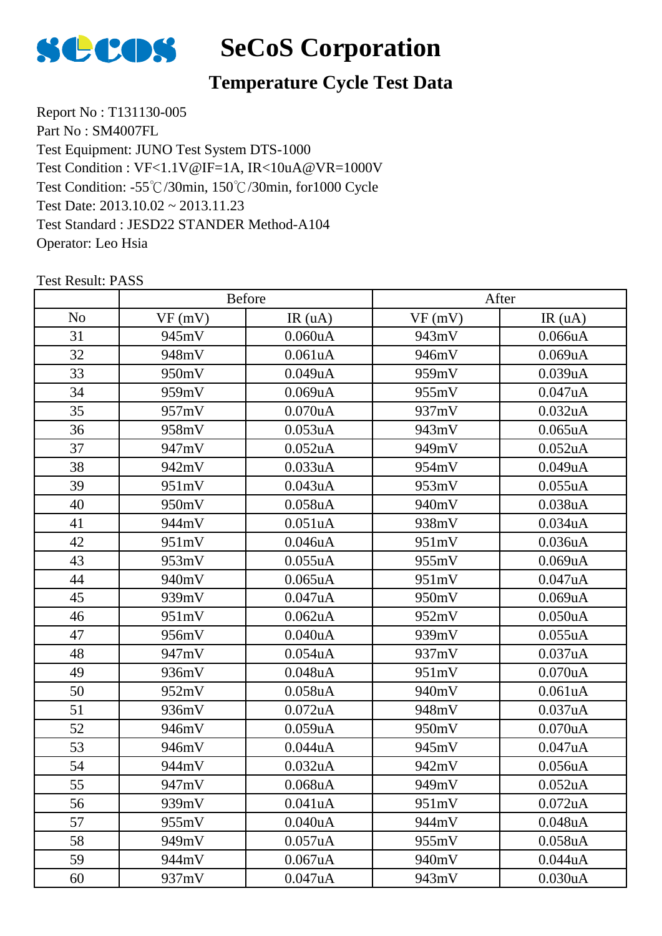

## **Temperature Cycle Test Data**

Report No : T131130-005 Part No : SM4007FL Test Equipment: JUNO Test System DTS-1000 Test Condition: -55℃/30min, 150℃/30min, for1000 Cycle Test Date: 2013.10.02 ~ 2013.11.23 Test Standard : JESD22 STANDER Method-A104 Operator: Leo Hsia Test Condition : VF<1.1V@IF=1A, IR<10uA@VR=1000V

|                |        | <b>Before</b> |        | After                |
|----------------|--------|---------------|--------|----------------------|
| N <sub>o</sub> | VF(mV) | IR(uA)        | VF(mV) | IR(uA)               |
| 31             | 945mV  | 0.060uA       | 943mV  | 0.066uA              |
| 32             | 948mV  | 0.061uA       | 946mV  | 0.069uA              |
| 33             | 950mV  | 0.049uA       | 959mV  | 0.039uA              |
| 34             | 959mV  | 0.069uA       | 955mV  | 0.047uA              |
| 35             | 957mV  | $0.070$ u $A$ | 937mV  | 0.032uA              |
| 36             | 958mV  | $0.053$ uA    | 943mV  | $0.065$ uA           |
| 37             | 947mV  | 0.052uA       | 949mV  | 0.052uA              |
| 38             | 942mV  | 0.033uA       | 954mV  | 0.049uA              |
| 39             | 951mV  | 0.043uA       | 953mV  | 0.055uA              |
| 40             | 950mV  | $0.058$ u $A$ | 940mV  | 0.038uA              |
| 41             | 944mV  | 0.051uA       | 938mV  | 0.034uA              |
| 42             | 951mV  | 0.046uA       | 951mV  | 0.036uA              |
| 43             | 953mV  | 0.055uA       | 955mV  | 0.069uA              |
| 44             | 940mV  | $0.065$ uA    | 951mV  | 0.047uA              |
| 45             | 939mV  | 0.047uA       | 950mV  | 0.069uA              |
| 46             | 951mV  | $0.062$ uA    | 952mV  | 0.050uA              |
| 47             | 956mV  | 0.040uA       | 939mV  | 0.055uA              |
| 48             | 947mV  | $0.054$ u $A$ | 937mV  | 0.037uA              |
| 49             | 936mV  | $0.048$ u $A$ | 951mV  | 0.070uA              |
| 50             | 952mV  | $0.058$ u $A$ | 940mV  | 0.061uA              |
| 51             | 936mV  | $0.072$ uA    | 948mV  | 0.037uA              |
| 52             | 946mV  | 0.059uA       | 950mV  | 0.070uA              |
| 53             | 946mV  | 0.044uA       | 945mV  | 0.047uA              |
| 54             | 944mV  | 0.032uA       | 942mV  | 0.056uA              |
| 55             | 947mV  | 0.068uA       | 949mV  | 0.052uA              |
| 56             | 939mV  | 0.041uA       | 951mV  | 0.072 <sub>u</sub> A |
| 57             | 955mV  | 0.040uA       | 944mV  | 0.048uA              |
| 58             | 949mV  | 0.057uA       | 955mV  | 0.058uA              |
| 59             | 944mV  | 0.067uA       | 940mV  | 0.044uA              |
| 60             | 937mV  | 0.047uA       | 943mV  | 0.030uA              |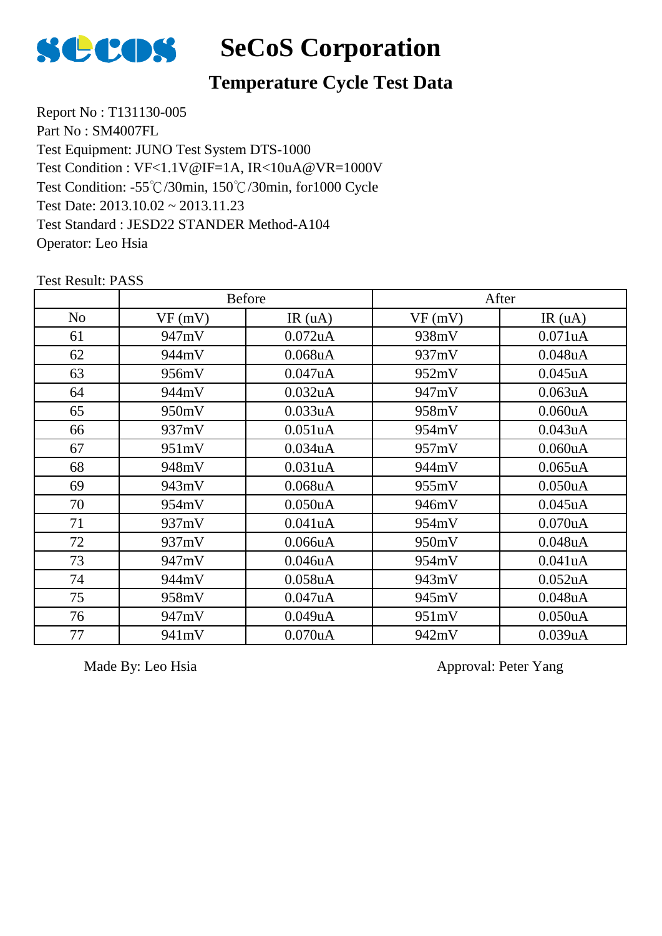

#### **Temperature Cycle Test Data**

Report No : T131130-005 Part No : SM4007FL Test Equipment: JUNO Test System DTS-1000 Test Condition: -55℃/30min, 150℃/30min, for1000 Cycle Test Date: 2013.10.02 ~ 2013.11.23 Test Standard : JESD22 STANDER Method-A104 Operator: Leo Hsia Test Condition : VF<1.1V@IF=1A, IR<10uA@VR=1000V

|    |        | <b>Before</b> |        | After                |
|----|--------|---------------|--------|----------------------|
| No | VF(mV) | IR(uA)        | VF(mV) | IR(uA)               |
| 61 | 947mV  | $0.072$ uA    | 938mV  | 0.071uA              |
| 62 | 944mV  | $0.068$ u $A$ | 937mV  | $0.048$ u $A$        |
| 63 | 956mV  | 0.047uA       | 952mV  | $0.045$ uA           |
| 64 | 944mV  | 0.032uA       | 947mV  | 0.063uA              |
| 65 | 950mV  | 0.033uA       | 958mV  | 0.060uA              |
| 66 | 937mV  | 0.051uA       | 954mV  | 0.043uA              |
| 67 | 951mV  | 0.034uA       | 957mV  | 0.060uA              |
| 68 | 948mV  | 0.031uA       | 944mV  | $0.065$ uA           |
| 69 | 943mV  | $0.068$ u $A$ | 955mV  | $0.050$ uA           |
| 70 | 954mV  | 0.050uA       | 946mV  | $0.045$ uA           |
| 71 | 937mV  | 0.041uA       | 954mV  | $0.070$ uA           |
| 72 | 937mV  | 0.066uA       | 950mV  | $0.048$ u $A$        |
| 73 | 947mV  | 0.046uA       | 954mV  | 0.041uA              |
| 74 | 944mV  | $0.058$ u $A$ | 943mV  | 0.052 <sub>u</sub> A |
| 75 | 958mV  | 0.047uA       | 945mV  | $0.048$ u $A$        |
| 76 | 947mV  | 0.049uA       | 951mV  | 0.050uA              |
| 77 | 941mV  | 0.070uA       | 942mV  | 0.039uA              |

Test Result: PASS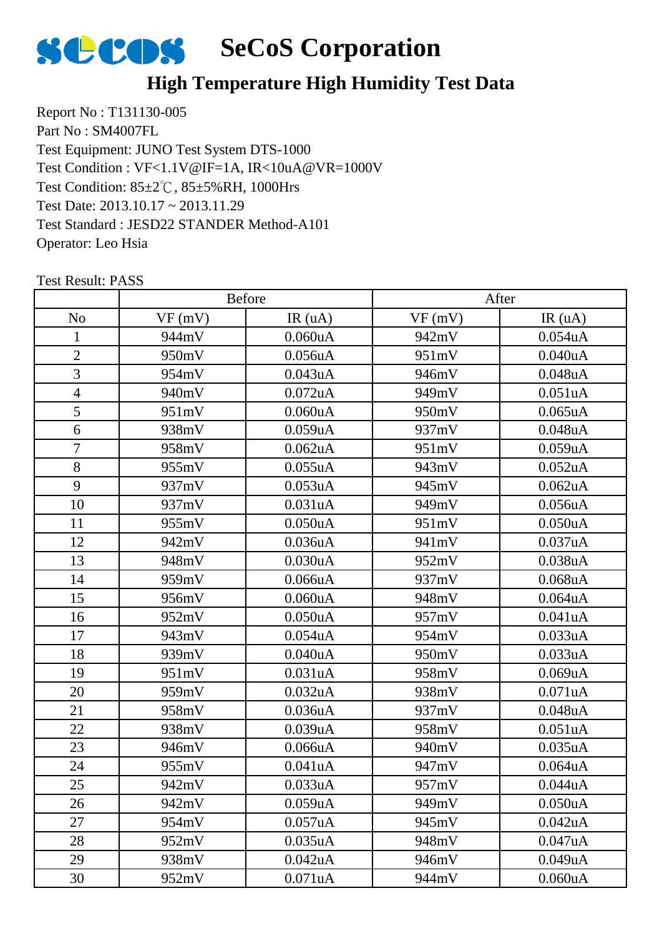

#### **High Temperature High Humidity Test Data**

Report No : T131130-005 Part No : SM4007FL Test Equipment: JUNO Test System DTS-1000 Test Condition: 85±2℃, 85±5%RH, 1000Hrs Test Date: 2013.10.17 ~ 2013.11.29 Test Standard : JESD22 STANDER Method-A101 Operator: Leo Hsia Test Condition : VF<1.1V@IF=1A, IR<10uA@VR=1000V

|                |        | Before               |        | After                |
|----------------|--------|----------------------|--------|----------------------|
| N <sub>o</sub> | VF(mV) | IR(uA)               | VF(mV) | IR(uA)               |
| $\mathbf{1}$   | 944mV  | 0.060uA              | 942mV  | 0.054uA              |
| $\overline{2}$ | 950mV  | $0.056$ uA           | 951mV  | 0.040uA              |
| 3              | 954mV  | 0.043uA              | 946mV  | 0.048uA              |
| $\overline{4}$ | 940mV  | $0.072$ uA           | 949mV  | 0.051uA              |
| 5              | 951mV  | 0.060uA              | 950mV  | $0.065$ uA           |
| 6              | 938mV  | $0.059$ uA           | 937mV  | $0.048$ u $A$        |
| $\overline{7}$ | 958mV  | $0.062$ uA           | 951mV  | 0.059uA              |
| 8              | 955mV  | 0.055uA              | 943mV  | 0.052uA              |
| 9              | 937mV  | 0.053uA              | 945mV  | 0.062uA              |
| 10             | 937mV  | 0.031uA              | 949mV  | 0.056uA              |
| 11             | 955mV  | 0.050 <sub>u</sub> A | 951mV  | 0.050 <sub>u</sub> A |
| 12             | 942mV  | 0.036uA              | 941mV  | 0.037uA              |
| 13             | 948mV  | 0.030uA              | 952mV  | 0.038uA              |
| 14             | 959mV  | 0.066uA              | 937mV  | $0.068$ u $A$        |
| 15             | 956mV  | 0.060uA              | 948mV  | 0.064uA              |
| 16             | 952mV  | 0.050 <sub>u</sub> A | 957mV  | 0.041uA              |
| 17             | 943mV  | $0.054$ u $A$        | 954mV  | 0.033uA              |
| 18             | 939mV  | 0.040uA              | 950mV  | 0.033uA              |
| 19             | 951mV  | 0.031uA              | 958mV  | 0.069uA              |
| 20             | 959mV  | 0.032 <sub>u</sub> A | 938mV  | 0.071uA              |
| 21             | 958mV  | 0.036 <sub>u</sub> A | 937mV  | 0.048uA              |
| 22             | 938mV  | 0.039uA              | 958mV  | 0.051uA              |
| 23             | 946mV  | 0.066uA              | 940mV  | 0.035uA              |
| 24             | 955mV  | 0.041uA              | 947mV  | 0.064uA              |
| 25             | 942mV  | 0.033uA              | 957mV  | 0.044uA              |
| 26             | 942mV  | 0.059uA              | 949mV  | 0.050 <sub>u</sub> A |
| 27             | 954mV  | 0.057uA              | 945mV  | 0.042uA              |
| 28             | 952mV  | 0.035uA              | 948mV  | 0.047uA              |
| 29             | 938mV  | $0.042$ uA           | 946mV  | 0.049uA              |
| 30             | 952mV  | 0.071uA              | 944mV  | 0.060uA              |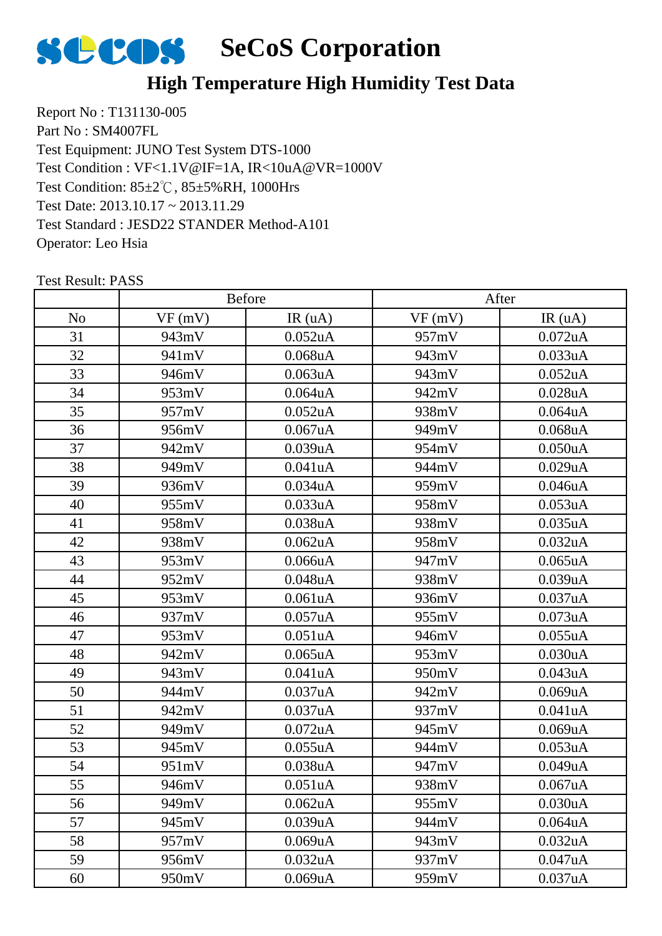

#### **High Temperature High Humidity Test Data**

Report No : T131130-005 Part No : SM4007FL Test Equipment: JUNO Test System DTS-1000 Test Condition: 85±2℃, 85±5%RH, 1000Hrs Test Date: 2013.10.17 ~ 2013.11.29 Test Standard : JESD22 STANDER Method-A101 Operator: Leo Hsia Test Condition : VF<1.1V@IF=1A, IR<10uA@VR=1000V

|                |        | Before               |        | After                |
|----------------|--------|----------------------|--------|----------------------|
| N <sub>o</sub> | VF(mV) | IR(uA)               | VF(mV) | IR(uA)               |
| 31             | 943mV  | 0.052 <sub>u</sub> A | 957mV  | $0.072$ uA           |
| 32             | 941mV  | $0.068$ u $A$        | 943mV  | 0.033uA              |
| 33             | 946mV  | $0.063$ uA           | 943mV  | 0.052uA              |
| 34             | 953mV  | $0.064$ u $A$        | 942mV  | 0.028uA              |
| 35             | 957mV  | $0.052$ uA           | 938mV  | 0.064uA              |
| 36             | 956mV  | $0.067$ uA           | 949mV  | $0.068$ u $A$        |
| 37             | 942mV  | 0.039uA              | 954mV  | 0.050uA              |
| 38             | 949mV  | 0.041uA              | 944mV  | 0.029uA              |
| 39             | 936mV  | 0.034uA              | 959mV  | 0.046uA              |
| 40             | 955mV  | 0.033uA              | 958mV  | 0.053uA              |
| 41             | 958mV  | 0.038 <sub>u</sub> A | 938mV  | 0.035uA              |
| 42             | 938mV  | $0.062$ uA           | 958mV  | 0.032uA              |
| 43             | 953mV  | 0.066uA              | 947mV  | $0.065$ uA           |
| 44             | 952mV  | $0.048$ u $A$        | 938mV  | 0.039uA              |
| 45             | 953mV  | 0.061uA              | 936mV  | 0.037uA              |
| 46             | 937mV  | $0.057$ uA           | 955mV  | 0.073uA              |
| 47             | 953mV  | 0.051uA              | 946mV  | 0.055uA              |
| 48             | 942mV  | $0.065$ uA           | 953mV  | 0.030uA              |
| 49             | 943mV  | 0.041uA              | 950mV  | 0.043uA              |
| 50             | 944mV  | 0.037uA              | 942mV  | 0.069uA              |
| 51             | 942mV  | 0.037uA              | 937mV  | 0.041uA              |
| 52             | 949mV  | $0.072$ uA           | 945mV  | 0.069uA              |
| 53             | 945mV  | 0.055uA              | 944mV  | 0.053uA              |
| 54             | 951mV  | 0.038uA              | 947mV  | 0.049uA              |
| 55             | 946mV  | 0.051uA              | 938mV  | 0.067uA              |
| 56             | 949mV  | 0.062 <sub>u</sub> A | 955mV  | 0.030 <sub>u</sub> A |
| 57             | 945mV  | 0.039uA              | 944mV  | $0.064$ u $A$        |
| 58             | 957mV  | 0.069uA              | 943mV  | 0.032uA              |
| 59             | 956mV  | 0.032uA              | 937mV  | 0.047uA              |
| 60             | 950mV  | 0.069uA              | 959mV  | 0.037uA              |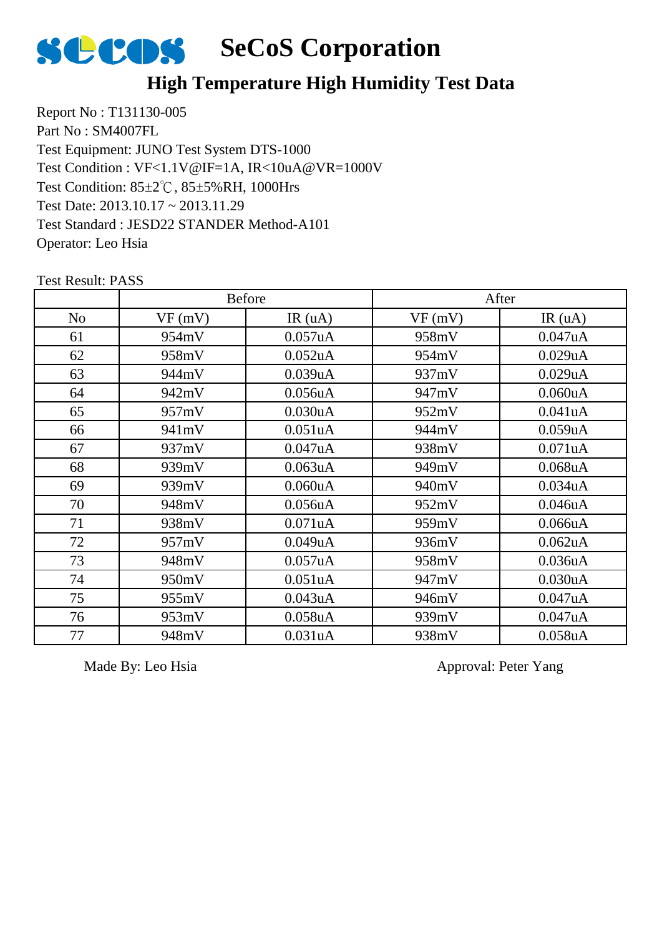

#### **High Temperature High Humidity Test Data**

Report No : T131130-005 Part No : SM4007FL Test Equipment: JUNO Test System DTS-1000 Test Condition: 85±2℃, 85±5%RH, 1000Hrs Test Date: 2013.10.17 ~ 2013.11.29 Test Standard : JESD22 STANDER Method-A101 Operator: Leo Hsia Test Condition : VF<1.1V@IF=1A, IR<10uA@VR=1000V

Test Result: PASS

|                |        | <b>Before</b>        |        | After                |
|----------------|--------|----------------------|--------|----------------------|
| N <sub>o</sub> | VF(mV) | IR(uA)               | VF(mV) | IR(uA)               |
| 61             | 954mV  | 0.057uA              | 958mV  | 0.047uA              |
| 62             | 958mV  | $0.052$ uA           | 954mV  | 0.029uA              |
| 63             | 944mV  | 0.039uA              | 937mV  | 0.029uA              |
| 64             | 942mV  | 0.056uA              | 947mV  | 0.060uA              |
| 65             | 957mV  | 0.030 <sub>u</sub> A | 952mV  | 0.041uA              |
| 66             | 941mV  | 0.051 <sub>u</sub> A | 944mV  | 0.059uA              |
| 67             | 937mV  | 0.047uA              | 938mV  | 0.071uA              |
| 68             | 939mV  | $0.063$ uA           | 949mV  | $0.068$ u $A$        |
| 69             | 939mV  | 0.060uA              | 940mV  | 0.034 <sub>u</sub> A |
| 70             | 948mV  | 0.056uA              | 952mV  | $0.046$ u $A$        |
| 71             | 938mV  | 0.071uA              | 959mV  | 0.066uA              |
| 72             | 957mV  | 0.049uA              | 936mV  | $0.062$ uA           |
| 73             | 948mV  | 0.057uA              | 958mV  | 0.036uA              |
| 74             | 950mV  | 0.051 <sub>u</sub> A | 947mV  | 0.030uA              |
| 75             | 955mV  | 0.043uA              | 946mV  | 0.047uA              |
| 76             | 953mV  | $0.058$ u $A$        | 939mV  | 0.047uA              |
| 77             | 948mV  | 0.031uA              | 938mV  | 0.058uA              |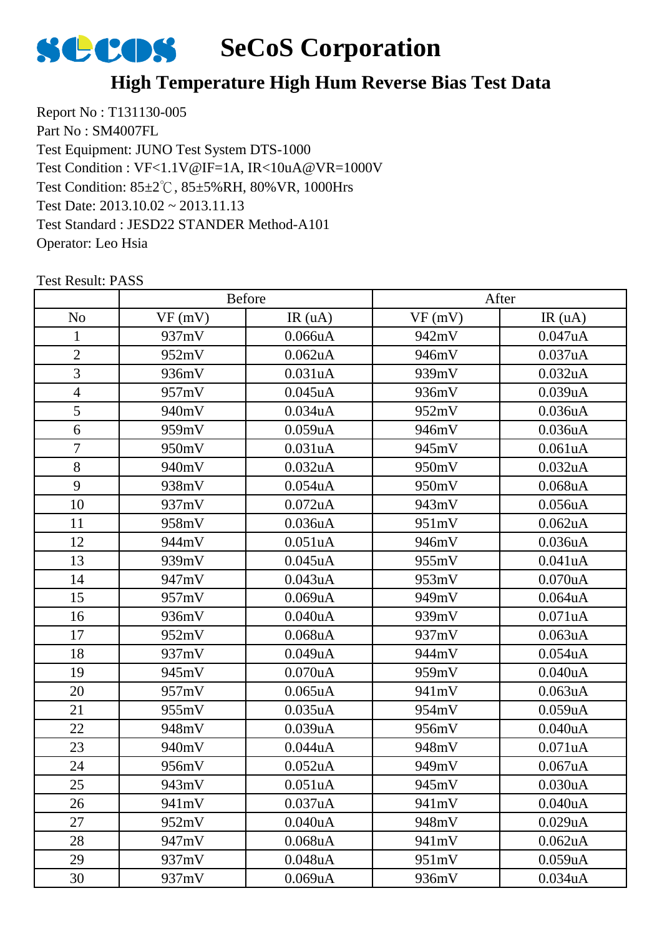

#### **High Temperature High Hum Reverse Bias Test Data**

Report No : T131130-005 Part No : SM4007FL Test Equipment: JUNO Test System DTS-1000 Test Condition: 85±2℃, 85±5%RH, 80%VR, 1000Hrs Test Date: 2013.10.02 ~ 2013.11.13 Test Standard : JESD22 STANDER Method-A101 Operator: Leo Hsia Test Condition : VF<1.1V@IF=1A, IR<10uA@VR=1000V

|                |        | Before               |        | After                |
|----------------|--------|----------------------|--------|----------------------|
| N <sub>o</sub> | VF(mV) | IR $(uA)$            | VF(mV) | IR(uA)               |
| $\mathbf{1}$   | 937mV  | 0.066uA              | 942mV  | 0.047uA              |
| $\overline{2}$ | 952mV  | $0.062$ uA           | 946mV  | 0.037uA              |
| 3              | 936mV  | 0.031uA              | 939mV  | 0.032uA              |
| $\overline{4}$ | 957mV  | $0.045$ uA           | 936mV  | 0.039uA              |
| 5              | 940mV  | 0.034uA              | 952mV  | 0.036uA              |
| 6              | 959mV  | 0.059uA              | 946mV  | 0.036uA              |
| $\overline{7}$ | 950mV  | 0.031uA              | 945mV  | 0.061uA              |
| 8              | 940mV  | 0.032 <sub>u</sub> A | 950mV  | 0.032uA              |
| 9              | 938mV  | $0.054$ u $A$        | 950mV  | $0.068$ u $A$        |
| 10             | 937mV  | $0.072$ uA           | 943mV  | 0.056uA              |
| 11             | 958mV  | 0.036uA              | 951mV  | $0.062$ uA           |
| 12             | 944mV  | 0.051uA              | 946mV  | 0.036uA              |
| 13             | 939mV  | $0.045$ uA           | 955mV  | 0.041uA              |
| 14             | 947mV  | 0.043uA              | 953mV  | 0.070uA              |
| 15             | 957mV  | 0.069uA              | 949mV  | 0.064uA              |
| 16             | 936mV  | 0.040uA              | 939mV  | 0.071uA              |
| 17             | 952mV  | $0.068$ u $A$        | 937mV  | 0.063uA              |
| 18             | 937mV  | 0.049uA              | 944mV  | 0.054uA              |
| 19             | 945mV  | 0.070uA              | 959mV  | 0.040uA              |
| 20             | 957mV  | $0.065$ uA           | 941mV  | 0.063uA              |
| 21             | 955mV  | $0.035$ uA           | 954mV  | 0.059uA              |
| 22             | 948mV  | 0.039uA              | 956mV  | 0.040uA              |
| 23             | 940mV  | 0.044uA              | 948mV  | 0.071uA              |
| 24             | 956mV  | $0.052$ uA           | 949mV  | 0.067uA              |
| 25             | 943mV  | 0.051uA              | 945mV  | 0.030uA              |
| 26             | 941mV  | 0.037uA              | 941mV  | 0.040 <sub>u</sub> A |
| 27             | 952mV  | 0.040uA              | 948mV  | 0.029uA              |
| 28             | 947mV  | $0.068$ u $A$        | 941mV  | 0.062uA              |
| 29             | 937mV  | $0.048$ u $A$        | 951mV  | 0.059uA              |
| 30             | 937mV  | 0.069uA              | 936mV  | 0.034uA              |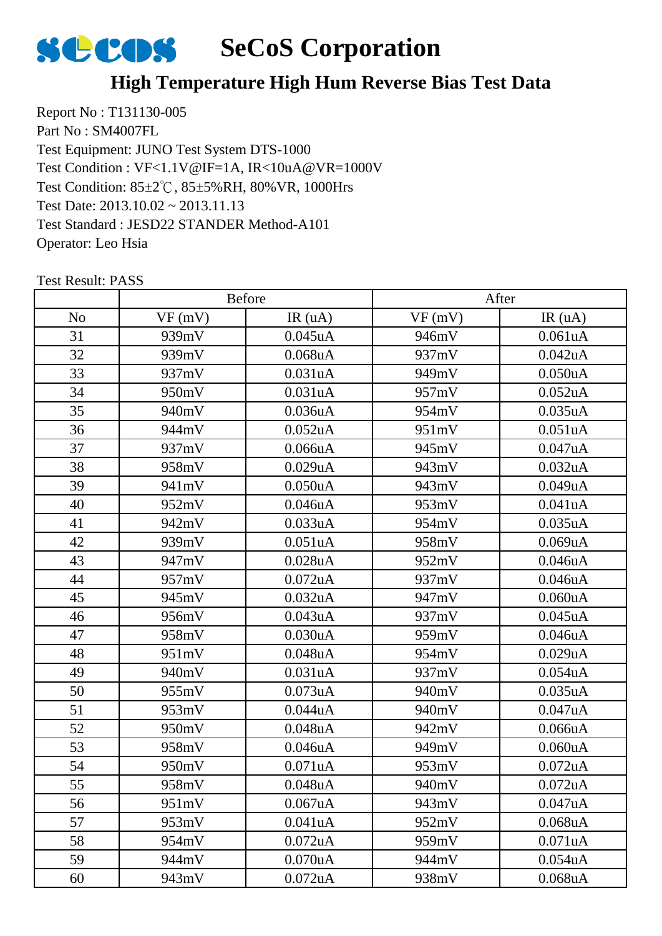

#### **High Temperature High Hum Reverse Bias Test Data**

Report No : T131130-005 Part No : SM4007FL Test Equipment: JUNO Test System DTS-1000 Test Condition: 85±2℃, 85±5%RH, 80%VR, 1000Hrs Test Date: 2013.10.02 ~ 2013.11.13 Test Standard : JESD22 STANDER Method-A101 Operator: Leo Hsia Test Condition : VF<1.1V@IF=1A, IR<10uA@VR=1000V

|                |        | Before               |        | After         |
|----------------|--------|----------------------|--------|---------------|
| N <sub>o</sub> | VF(mV) | IR $(uA)$            | VF(mV) | IR(uA)        |
| 31             | 939mV  | $0.045$ uA           | 946mV  | 0.061uA       |
| 32             | 939mV  | $0.068$ u $A$        | 937mV  | 0.042uA       |
| 33             | 937mV  | 0.031uA              | 949mV  | 0.050uA       |
| 34             | 950mV  | 0.031uA              | 957mV  | 0.052uA       |
| 35             | 940mV  | 0.036uA              | 954mV  | 0.035uA       |
| 36             | 944mV  | $0.052$ uA           | 951mV  | 0.051uA       |
| 37             | 937mV  | 0.066uA              | 945mV  | 0.047uA       |
| 38             | 958mV  | 0.029uA              | 943mV  | 0.032uA       |
| 39             | 941mV  | 0.050uA              | 943mV  | 0.049uA       |
| 40             | 952mV  | $0.046$ u $A$        | 953mV  | 0.041uA       |
| 41             | 942mV  | 0.033uA              | 954mV  | $0.035$ uA    |
| 42             | 939mV  | 0.051uA              | 958mV  | 0.069uA       |
| 43             | 947mV  | $0.028$ u $A$        | 952mV  | 0.046uA       |
| 44             | 957mV  | $0.072$ uA           | 937mV  | 0.046uA       |
| 45             | 945mV  | 0.032 <sub>u</sub> A | 947mV  | 0.060uA       |
| 46             | 956mV  | 0.043uA              | 937mV  | 0.045uA       |
| 47             | 958mV  | 0.030uA              | 959mV  | 0.046uA       |
| 48             | 951mV  | $0.048$ u $A$        | 954mV  | 0.029uA       |
| 49             | 940mV  | 0.031uA              | 937mV  | 0.054uA       |
| 50             | 955mV  | $0.073$ uA           | 940mV  | $0.035$ uA    |
| 51             | 953mV  | 0.044uA              | 940mV  | 0.047uA       |
| 52             | 950mV  | 0.048uA              | 942mV  | 0.066uA       |
| 53             | 958mV  | 0.046uA              | 949mV  | 0.060uA       |
| 54             | 950mV  | 0.071uA              | 953mV  | $0.072$ uA    |
| 55             | 958mV  | 0.048uA              | 940mV  | 0.072uA       |
| 56             | 951mV  | 0.067uA              | 943mV  | 0.047uA       |
| 57             | 953mV  | 0.041uA              | 952mV  | $0.068$ u $A$ |
| 58             | 954mV  | $0.072$ uA           | 959mV  | 0.071uA       |
| 59             | 944mV  | $0.070$ u $A$        | 944mV  | 0.054uA       |
| 60             | 943mV  | $0.072$ uA           | 938mV  | 0.068uA       |